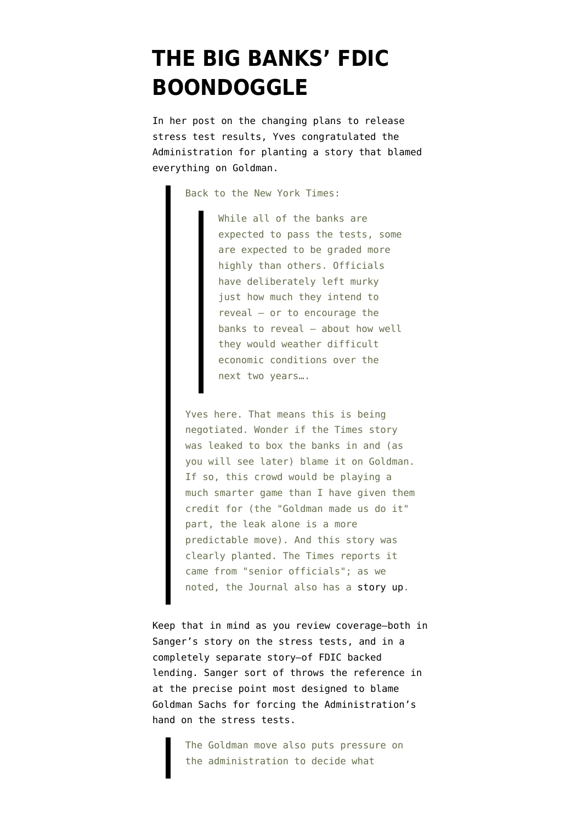## **[THE BIG BANKS' FDIC](https://www.emptywheel.net/2009/04/15/the-big-banks-fdic-boondoggle/) [BOONDOGGLE](https://www.emptywheel.net/2009/04/15/the-big-banks-fdic-boondoggle/)**

In [her post](http://feedproxy.google.com/~r/NakedCapitalism/~3/26DCTEBdqwc/us-decides-to-disclose-some-results.html) on the changing plans to [release](http://emptywheel.firedoglake.com/2009/04/15/grading-on-a-curve/) [stress test results](http://emptywheel.firedoglake.com/2009/04/15/grading-on-a-curve/), Yves congratulated the Administration for planting a story that blamed everything on Goldman.

Back to the New York Times:

While all of the banks are expected to pass the tests, some are expected to be graded more highly than others. Officials have deliberately left murky just how much they intend to reveal — or to encourage the banks to reveal — about how well they would weather difficult economic conditions over the next two years….

Yves here. That means this is being negotiated. Wonder if the Times story was leaked to box the banks in and (as you will see later) blame it on Goldman. If so, this crowd would be playing a much smarter game than I have given them credit for (the "Goldman made us do it" part, the leak alone is a more predictable move). And this story was clearly planted. The Times reports it came from "senior officials"; as we noted, the Journal also has a [story up.](http://online.wsj.com/article/SB123975110468218627.html)

Keep that in mind as you review coverage–both in [Sanger's story](http://www.nytimes.com/2009/04/15/business/economy/15bailout.html?_r=1&th&emc=th) on the stress tests, and in a [completely separate story–](http://www.nytimes.com/2009/04/15/business/economy/15bank.html?ref=economy)of FDIC backed lending. Sanger sort of throws the reference in at the precise point most designed to blame Goldman Sachs for forcing the Administration's hand on the stress tests.

> The Goldman move also puts pressure on the administration to decide what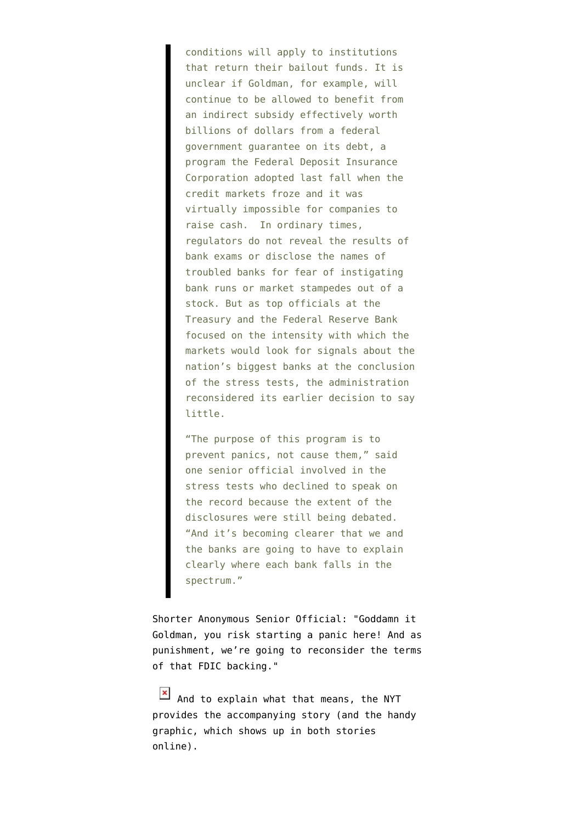conditions will apply to institutions that return their bailout funds. It is unclear if Goldman, for example, will continue to be allowed to benefit from an indirect subsidy effectively worth billions of dollars from a federal government guarantee on its debt, a program the Federal Deposit Insurance Corporation adopted last fall when the credit markets froze and it was virtually impossible for companies to raise cash. In ordinary times, regulators do not reveal the results of bank exams or disclose the names of troubled banks for fear of instigating bank runs or market stampedes out of a stock. But as top officials at the Treasury and the Federal Reserve Bank focused on the intensity with which the markets would look for signals about the nation's biggest banks at the conclusion of the stress tests, the administration reconsidered its earlier decision to say little.

"The purpose of this program is to prevent panics, not cause them," said one senior official involved in the stress tests who declined to speak on the record because the extent of the disclosures were still being debated. "And it's becoming clearer that we and the banks are going to have to explain clearly where each bank falls in the spectrum."

Shorter Anonymous Senior Official: "Goddamn it Goldman, you risk starting a panic here! And as punishment, we're going to reconsider the terms of that FDIC backing."

[And to explain what that means, the NYT](http://emptywheel.firedoglake.com/files/28/files//2009/04/fdic-bailout-graphic.jpg) [provides the](http://emptywheel.firedoglake.com/files/28/files//2009/04/fdic-bailout-graphic.jpg) [accompanying story](http://www.nytimes.com/2009/04/15/business/economy/15bank.html?ref=economy) (and the [handy](http://www.nytimes.com/2009/04/15/business/economy/15bank.html?ref=economy) [graphic,](http://www.nytimes.com/2009/04/15/business/economy/15bank.html?ref=economy) which shows up in both stories online).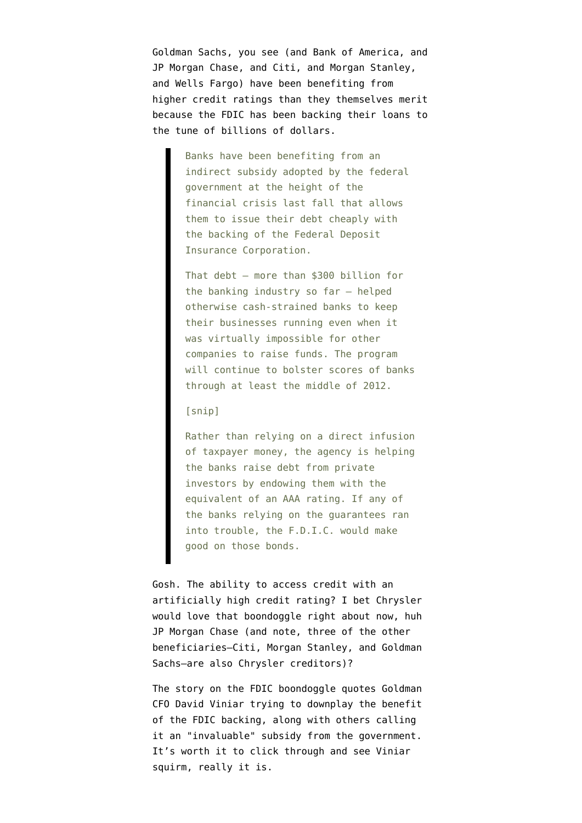Goldman Sachs, you see (and Bank of America, and JP Morgan Chase, and Citi, and Morgan Stanley, and Wells Fargo) have been benefiting from higher credit ratings than they themselves merit because the FDIC has been backing their loans to the tune of billions of dollars.

> Banks have been benefiting from an indirect subsidy adopted by the federal government at the height of the financial crisis last fall that allows them to issue their debt cheaply with the backing of the Federal Deposit Insurance Corporation.

That debt — more than \$300 billion for the banking industry so far — helped otherwise cash-strained banks to keep their businesses running even when it was virtually impossible for other companies to raise funds. The program will continue to bolster scores of banks through at least the middle of 2012.

## [snip]

Rather than relying on a direct infusion of taxpayer money, the agency is helping the banks raise debt from private investors by endowing them with the equivalent of an AAA rating. If any of the banks relying on the guarantees ran into trouble, the F.D.I.C. would make good on those bonds.

Gosh. The ability to access credit with an artificially high credit rating? I bet Chrysler would love that boondoggle right about now, huh JP Morgan Chase (and note, three of the other beneficiaries–Citi, Morgan Stanley, and Goldman Sachs–are also Chrysler creditors)?

The story on the FDIC boondoggle quotes Goldman CFO David Viniar trying to downplay the benefit of the FDIC backing, along with others calling it an "invaluable" subsidy from the government. It's worth it to click through and [see Viniar](http://www.nytimes.com/2009/04/15/business/economy/15bank.html?ref=economy) [squirm](http://www.nytimes.com/2009/04/15/business/economy/15bank.html?ref=economy), really it is.